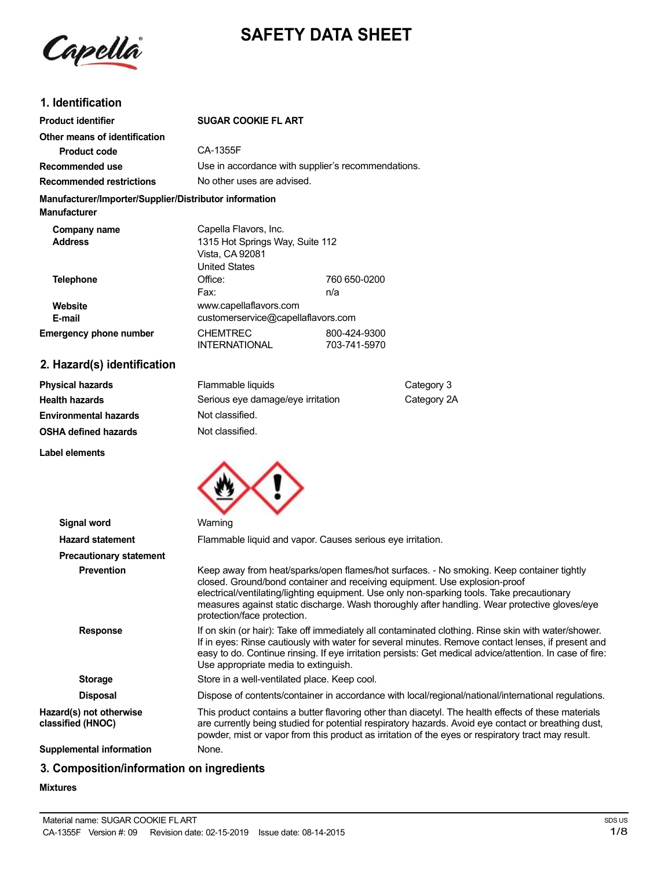

# **SAFETY DATA SHEET**

## **1. Identification**

| <b>Product identifier</b>                                                     | <b>SUGAR COOKIE FL ART</b>                                                                   |                              |
|-------------------------------------------------------------------------------|----------------------------------------------------------------------------------------------|------------------------------|
| Other means of identification                                                 |                                                                                              |                              |
| <b>Product code</b>                                                           | CA-1355F                                                                                     |                              |
| Recommended use                                                               | Use in accordance with supplier's recommendations.                                           |                              |
| <b>Recommended restrictions</b>                                               | No other uses are advised.                                                                   |                              |
| Manufacturer/Importer/Supplier/Distributor information<br><b>Manufacturer</b> |                                                                                              |                              |
| Company name<br><b>Address</b>                                                | Capella Flavors, Inc.<br>1315 Hot Springs Way, Suite 112<br>Vista, CA 92081<br>United States |                              |
| <b>Telephone</b><br>Website                                                   | Office:<br>Fax:<br>www.capellaflavors.com                                                    | 760 650-0200<br>n/a          |
| E-mail                                                                        | customerservice@capellaflavors.com                                                           |                              |
| <b>Emergency phone number</b>                                                 | <b>CHEMTREC</b><br><b>INTERNATIONAL</b>                                                      | 800-424-9300<br>703-741-5970 |

## **2. Hazard(s) identification**

| <b>Physical hazards</b>      | Flammable liquids                 | Category 3  |  |
|------------------------------|-----------------------------------|-------------|--|
| <b>Health hazards</b>        | Serious eye damage/eye irritation | Category 2A |  |
| <b>Environmental hazards</b> | Not classified.                   |             |  |
| <b>OSHA defined hazards</b>  | Not classified.                   |             |  |

**Label elements**



| Signal word                                  | Warning                                                                                                                                                                                                                                                                                                                                                                                               |  |
|----------------------------------------------|-------------------------------------------------------------------------------------------------------------------------------------------------------------------------------------------------------------------------------------------------------------------------------------------------------------------------------------------------------------------------------------------------------|--|
| <b>Hazard statement</b>                      | Flammable liquid and vapor. Causes serious eye irritation.                                                                                                                                                                                                                                                                                                                                            |  |
| <b>Precautionary statement</b>               |                                                                                                                                                                                                                                                                                                                                                                                                       |  |
| <b>Prevention</b>                            | Keep away from heat/sparks/open flames/hot surfaces. - No smoking. Keep container tightly<br>closed. Ground/bond container and receiving equipment. Use explosion-proof<br>electrical/ventilating/lighting equipment. Use only non-sparking tools. Take precautionary<br>measures against static discharge. Wash thoroughly after handling. Wear protective gloves/eye<br>protection/face protection. |  |
| <b>Response</b>                              | If on skin (or hair): Take off immediately all contaminated clothing. Rinse skin with water/shower.<br>If in eyes: Rinse cautiously with water for several minutes. Remove contact lenses, if present and<br>easy to do. Continue rinsing. If eye irritation persists: Get medical advice/attention. In case of fire:<br>Use appropriate media to extinguish.                                         |  |
| <b>Storage</b>                               | Store in a well-ventilated place. Keep cool.                                                                                                                                                                                                                                                                                                                                                          |  |
| <b>Disposal</b>                              | Dispose of contents/container in accordance with local/regional/national/international regulations.                                                                                                                                                                                                                                                                                                   |  |
| Hazard(s) not otherwise<br>classified (HNOC) | This product contains a butter flavoring other than diacetyl. The health effects of these materials<br>are currently being studied for potential respiratory hazards. Avoid eye contact or breathing dust,<br>powder, mist or vapor from this product as irritation of the eyes or respiratory tract may result.                                                                                      |  |
| Supplemental information                     | None.                                                                                                                                                                                                                                                                                                                                                                                                 |  |

## **3. Composition/information on ingredients**

#### **Mixtures**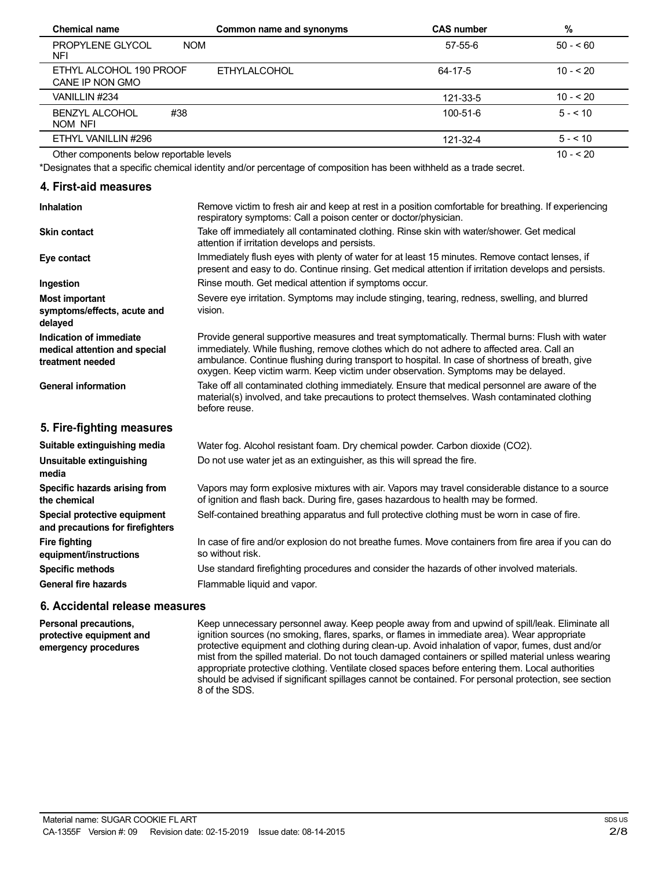| <b>Chemical name</b>                         | Common name and synonyms | <b>CAS number</b> | %          |
|----------------------------------------------|--------------------------|-------------------|------------|
| <b>PROPYLENE GLYCOL</b><br><b>NOM</b><br>NFI |                          | $57 - 55 - 6$     | $50 - 60$  |
| ETHYL ALCOHOL 190 PROOF<br>CANE IP NON GMO   | <b>ETHYLALCOHOL</b>      | 64-17-5           | $10 - 520$ |
| VANILLIN #234                                |                          | 121-33-5          | $10 - 20$  |
| #38<br><b>BENZYL ALCOHOL</b><br>NOM NFI      |                          | 100-51-6          | $5 - 10$   |
| ETHYL VANILLIN #296                          |                          | 121-32-4          | $5 - 10$   |
| Other components below reportable levels     |                          |                   | $10 - 520$ |

Other components below reportable levels

\*Designates that a specific chemical identity and/or percentage of composition has been withheld as a trade secret.

#### **4. First-aid measures**

| <b>Inhalation</b>                                                            | Remove victim to fresh air and keep at rest in a position comfortable for breathing. If experiencing<br>respiratory symptoms: Call a poison center or doctor/physician.                                                                                                                                                                                                             |
|------------------------------------------------------------------------------|-------------------------------------------------------------------------------------------------------------------------------------------------------------------------------------------------------------------------------------------------------------------------------------------------------------------------------------------------------------------------------------|
| <b>Skin contact</b>                                                          | Take off immediately all contaminated clothing. Rinse skin with water/shower. Get medical<br>attention if irritation develops and persists.                                                                                                                                                                                                                                         |
| Eye contact                                                                  | Immediately flush eyes with plenty of water for at least 15 minutes. Remove contact lenses, if<br>present and easy to do. Continue rinsing. Get medical attention if irritation develops and persists.                                                                                                                                                                              |
| Ingestion                                                                    | Rinse mouth. Get medical attention if symptoms occur.                                                                                                                                                                                                                                                                                                                               |
| <b>Most important</b><br>symptoms/effects, acute and<br>delayed              | Severe eye irritation. Symptoms may include stinging, tearing, redness, swelling, and blurred<br>vision.                                                                                                                                                                                                                                                                            |
| Indication of immediate<br>medical attention and special<br>treatment needed | Provide general supportive measures and treat symptomatically. Thermal burns: Flush with water<br>immediately. While flushing, remove clothes which do not adhere to affected area. Call an<br>ambulance. Continue flushing during transport to hospital. In case of shortness of breath, give<br>oxygen. Keep victim warm. Keep victim under observation. Symptoms may be delayed. |
| <b>General information</b>                                                   | Take off all contaminated clothing immediately. Ensure that medical personnel are aware of the<br>material(s) involved, and take precautions to protect themselves. Wash contaminated clothing<br>before reuse.                                                                                                                                                                     |
| 5. Fire-fighting measures                                                    |                                                                                                                                                                                                                                                                                                                                                                                     |
| Suitable extinguishing media                                                 | Water fog. Alcohol resistant foam. Dry chemical powder. Carbon dioxide (CO2).                                                                                                                                                                                                                                                                                                       |
| Unsuitable extinguishing<br>media                                            | Do not use water jet as an extinguisher, as this will spread the fire.                                                                                                                                                                                                                                                                                                              |
| Specific hazards arising from<br>the chemical                                | Vapors may form explosive mixtures with air. Vapors may travel considerable distance to a source<br>of ignition and flash back. During fire, gases hazardous to health may be formed.                                                                                                                                                                                               |
| Special protective equipment<br>and precautions for firefighters             | Self-contained breathing apparatus and full protective clothing must be worn in case of fire.                                                                                                                                                                                                                                                                                       |
| <b>Fire fighting</b><br>equipment/instructions                               | In case of fire and/or explosion do not breathe fumes. Move containers from fire area if you can do<br>so without risk.                                                                                                                                                                                                                                                             |
| <b>Specific methods</b>                                                      | Use standard firefighting procedures and consider the hazards of other involved materials.                                                                                                                                                                                                                                                                                          |
| General fire hazards                                                         | Flammable liquid and vapor.                                                                                                                                                                                                                                                                                                                                                         |

### **6. Accidental release measures**

**Personal precautions, protective equipment and emergency procedures**

Keep unnecessary personnel away. Keep people away from and upwind of spill/leak. Eliminate all ignition sources (no smoking, flares, sparks, or flames in immediate area). Wear appropriate protective equipment and clothing during clean-up. Avoid inhalation of vapor, fumes, dust and/or mist from the spilled material. Do not touch damaged containers or spilled material unless wearing appropriate protective clothing. Ventilate closed spaces before entering them. Local authorities should be advised if significant spillages cannot be contained. For personal protection, see section 8 of the SDS.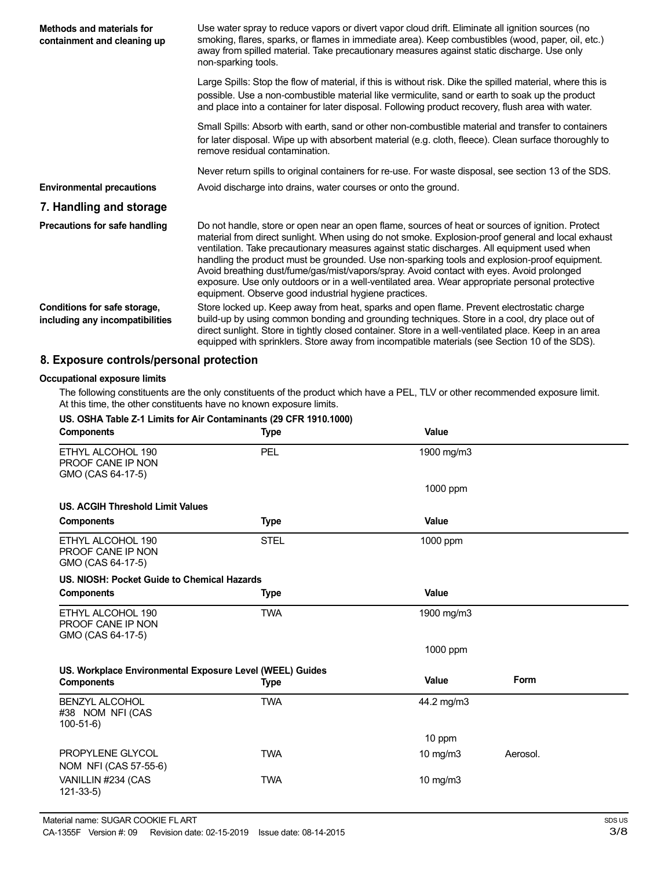| Methods and materials for<br>containment and cleaning up        | Use water spray to reduce vapors or divert vapor cloud drift. Eliminate all ignition sources (no<br>smoking, flares, sparks, or flames in immediate area). Keep combustibles (wood, paper, oil, etc.)<br>away from spilled material. Take precautionary measures against static discharge. Use only<br>non-sparking tools.                                                                                                                                                                                                                                                                                                                                   |  |
|-----------------------------------------------------------------|--------------------------------------------------------------------------------------------------------------------------------------------------------------------------------------------------------------------------------------------------------------------------------------------------------------------------------------------------------------------------------------------------------------------------------------------------------------------------------------------------------------------------------------------------------------------------------------------------------------------------------------------------------------|--|
|                                                                 | Large Spills: Stop the flow of material, if this is without risk. Dike the spilled material, where this is<br>possible. Use a non-combustible material like vermiculite, sand or earth to soak up the product<br>and place into a container for later disposal. Following product recovery, flush area with water.                                                                                                                                                                                                                                                                                                                                           |  |
|                                                                 | Small Spills: Absorb with earth, sand or other non-combustible material and transfer to containers<br>for later disposal. Wipe up with absorbent material (e.g. cloth, fleece). Clean surface thoroughly to<br>remove residual contamination.                                                                                                                                                                                                                                                                                                                                                                                                                |  |
|                                                                 | Never return spills to original containers for re-use. For waste disposal, see section 13 of the SDS.                                                                                                                                                                                                                                                                                                                                                                                                                                                                                                                                                        |  |
| <b>Environmental precautions</b>                                | Avoid discharge into drains, water courses or onto the ground.                                                                                                                                                                                                                                                                                                                                                                                                                                                                                                                                                                                               |  |
| 7. Handling and storage                                         |                                                                                                                                                                                                                                                                                                                                                                                                                                                                                                                                                                                                                                                              |  |
| Precautions for safe handling                                   | Do not handle, store or open near an open flame, sources of heat or sources of ignition. Protect<br>material from direct sunlight. When using do not smoke. Explosion-proof general and local exhaust<br>ventilation. Take precautionary measures against static discharges. All equipment used when<br>handling the product must be grounded. Use non-sparking tools and explosion-proof equipment.<br>Avoid breathing dust/fume/gas/mist/vapors/spray. Avoid contact with eyes. Avoid prolonged<br>exposure. Use only outdoors or in a well-ventilated area. Wear appropriate personal protective<br>equipment. Observe good industrial hygiene practices. |  |
| Conditions for safe storage,<br>including any incompatibilities | Store locked up. Keep away from heat, sparks and open flame. Prevent electrostatic charge<br>build-up by using common bonding and grounding techniques. Store in a cool, dry place out of<br>direct sunlight. Store in tightly closed container. Store in a well-ventilated place. Keep in an area<br>equipped with sprinklers. Store away from incompatible materials (see Section 10 of the SDS).                                                                                                                                                                                                                                                          |  |

## **8. Exposure controls/personal protection**

#### **Occupational exposure limits**

The following constituents are the only constituents of the product which have a PEL, TLV or other recommended exposure limit. At this time, the other constituents have no known exposure limits.

| US. OSHA Table Z-1 Limits for Air Contaminants (29 CFR 1910.1000)             |             |             |             |
|-------------------------------------------------------------------------------|-------------|-------------|-------------|
| <b>Components</b>                                                             | <b>Type</b> | Value       |             |
| ETHYL ALCOHOL 190<br>PROOF CANE IP NON<br>GMO (CAS 64-17-5)                   | PEL         | 1900 mg/m3  |             |
|                                                                               |             | 1000 ppm    |             |
| <b>US. ACGIH Threshold Limit Values</b>                                       |             |             |             |
| <b>Components</b>                                                             | <b>Type</b> | Value       |             |
| ETHYL ALCOHOL 190<br>PROOF CANE IP NON<br>GMO (CAS 64-17-5)                   | <b>STEL</b> | 1000 ppm    |             |
| US. NIOSH: Pocket Guide to Chemical Hazards                                   |             |             |             |
| <b>Components</b>                                                             | <b>Type</b> | Value       |             |
| ETHYL ALCOHOL 190<br>PROOF CANE IP NON<br>GMO (CAS 64-17-5)                   | <b>TWA</b>  | 1900 mg/m3  |             |
|                                                                               |             | 1000 ppm    |             |
| US. Workplace Environmental Exposure Level (WEEL) Guides<br><b>Components</b> | <b>Type</b> | Value       | <b>Form</b> |
| <b>BENZYL ALCOHOL</b><br>#38 NOM NFI (CAS<br>$100-51-6$                       | <b>TWA</b>  | 44.2 mg/m3  |             |
|                                                                               |             | 10 ppm      |             |
| PROPYLENE GLYCOL<br>NOM NFI (CAS 57-55-6)                                     | <b>TWA</b>  | 10 mg/m $3$ | Aerosol.    |
| VANILLIN #234 (CAS<br>$121 - 33 - 5$                                          | <b>TWA</b>  | 10 $mg/m3$  |             |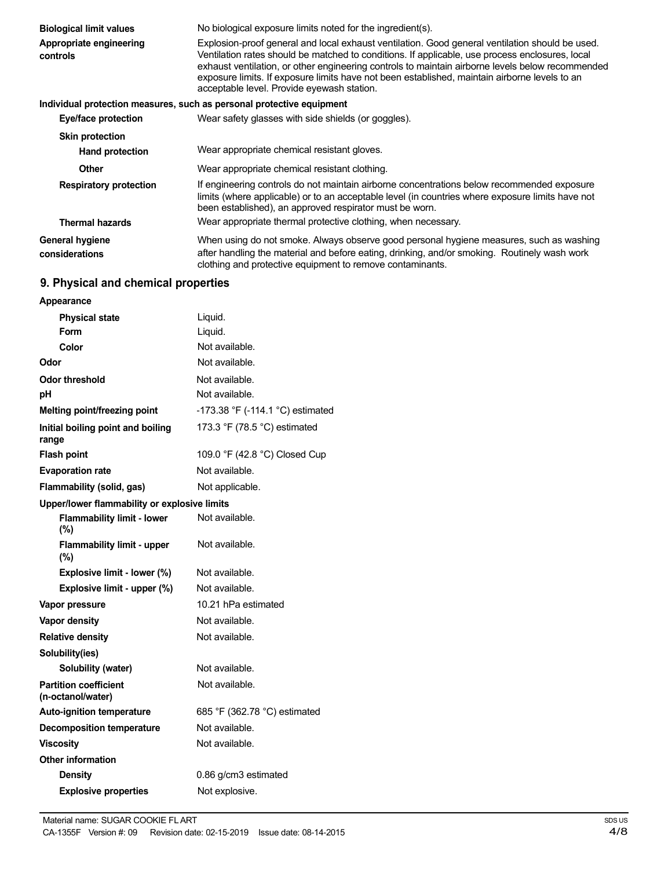| <b>Biological limit values</b>           | No biological exposure limits noted for the ingredient(s).                                                                                                                                                                                                                                                                                                                                                                                            |  |  |
|------------------------------------------|-------------------------------------------------------------------------------------------------------------------------------------------------------------------------------------------------------------------------------------------------------------------------------------------------------------------------------------------------------------------------------------------------------------------------------------------------------|--|--|
| Appropriate engineering<br>controls      | Explosion-proof general and local exhaust ventilation. Good general ventilation should be used.<br>Ventilation rates should be matched to conditions. If applicable, use process enclosures, local<br>exhaust ventilation, or other engineering controls to maintain airborne levels below recommended<br>exposure limits. If exposure limits have not been established, maintain airborne levels to an<br>acceptable level. Provide eyewash station. |  |  |
|                                          | Individual protection measures, such as personal protective equipment                                                                                                                                                                                                                                                                                                                                                                                 |  |  |
| Eye/face protection                      | Wear safety glasses with side shields (or goggles).                                                                                                                                                                                                                                                                                                                                                                                                   |  |  |
| <b>Skin protection</b>                   |                                                                                                                                                                                                                                                                                                                                                                                                                                                       |  |  |
| Hand protection                          | Wear appropriate chemical resistant gloves.                                                                                                                                                                                                                                                                                                                                                                                                           |  |  |
| <b>Other</b>                             | Wear appropriate chemical resistant clothing.                                                                                                                                                                                                                                                                                                                                                                                                         |  |  |
| <b>Respiratory protection</b>            | If engineering controls do not maintain airborne concentrations below recommended exposure<br>limits (where applicable) or to an acceptable level (in countries where exposure limits have not<br>been established), an approved respirator must be worn.                                                                                                                                                                                             |  |  |
| <b>Thermal hazards</b>                   | Wear appropriate thermal protective clothing, when necessary.                                                                                                                                                                                                                                                                                                                                                                                         |  |  |
| <b>General hygiene</b><br>considerations | When using do not smoke. Always observe good personal hygiene measures, such as washing<br>after handling the material and before eating, drinking, and/or smoking. Routinely wash work<br>clothing and protective equipment to remove contaminants.                                                                                                                                                                                                  |  |  |

## **9. Physical and chemical properties**

| Appearance                                        |                                  |  |
|---------------------------------------------------|----------------------------------|--|
| <b>Physical state</b>                             | Liquid.                          |  |
| Form                                              | Liquid.                          |  |
| Color                                             | Not available.                   |  |
| Odor                                              | Not available.                   |  |
| Odor threshold                                    | Not available.                   |  |
| рH                                                | Not available.                   |  |
| Melting point/freezing point                      | -173.38 °F (-114.1 °C) estimated |  |
| Initial boiling point and boiling<br>range        | 173.3 °F (78.5 °C) estimated     |  |
| <b>Flash point</b>                                | 109.0 °F (42.8 °C) Closed Cup    |  |
| <b>Evaporation rate</b>                           | Not available.                   |  |
| Flammability (solid, gas)                         | Not applicable.                  |  |
| Upper/lower flammability or explosive limits      |                                  |  |
| <b>Flammability limit - lower</b><br>(%)          | Not available.                   |  |
| <b>Flammability limit - upper</b><br>$(\% )$      | Not available.                   |  |
| Explosive limit - lower (%)                       | Not available.                   |  |
| Explosive limit - upper (%)                       | Not available.                   |  |
| Vapor pressure                                    | 10.21 hPa estimated              |  |
| <b>Vapor density</b>                              | Not available.                   |  |
| <b>Relative density</b>                           | Not available.                   |  |
| Solubility(ies)                                   |                                  |  |
| Solubility (water)                                | Not available.                   |  |
| <b>Partition coefficient</b><br>(n-octanol/water) | Not available.                   |  |
| <b>Auto-ignition temperature</b>                  | 685 °F (362.78 °C) estimated     |  |
| <b>Decomposition temperature</b>                  | Not available.                   |  |
| <b>Viscosity</b>                                  | Not available.                   |  |
| <b>Other information</b>                          |                                  |  |
| <b>Density</b>                                    | 0.86 g/cm3 estimated             |  |
| <b>Explosive properties</b>                       | Not explosive.                   |  |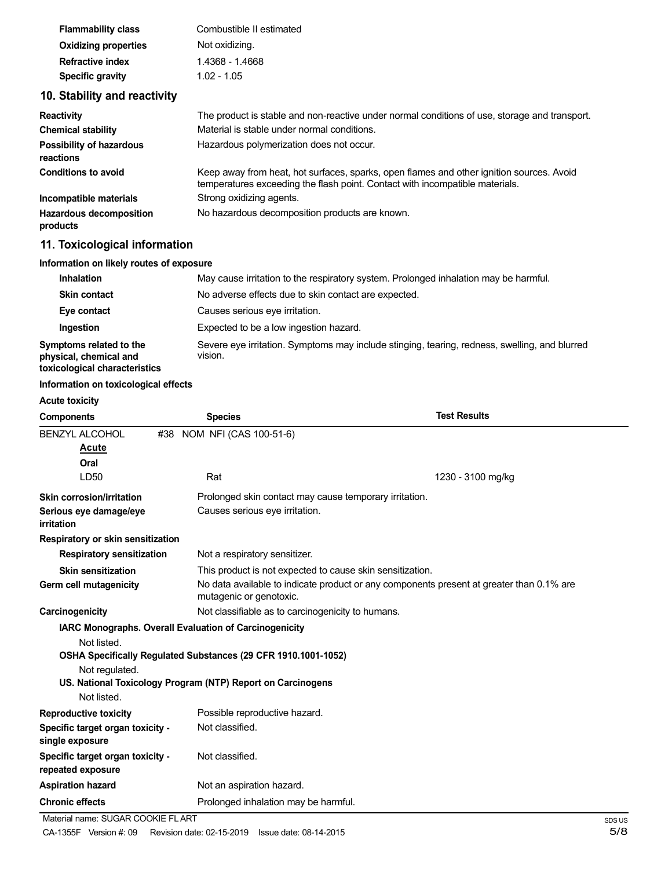| <b>Flammability class</b>                          | Combustible II estimated                                                                                                                                                 |
|----------------------------------------------------|--------------------------------------------------------------------------------------------------------------------------------------------------------------------------|
| <b>Oxidizing properties</b>                        | Not oxidizing.                                                                                                                                                           |
| <b>Refractive index</b>                            | 1.4368 - 1.4668                                                                                                                                                          |
| Specific gravity                                   | $1.02 - 1.05$                                                                                                                                                            |
| 10. Stability and reactivity                       |                                                                                                                                                                          |
| <b>Reactivity</b>                                  | The product is stable and non-reactive under normal conditions of use, storage and transport.                                                                            |
| <b>Chemical stability</b>                          | Material is stable under normal conditions.                                                                                                                              |
| <b>Possibility of hazardous</b><br>reactions       | Hazardous polymerization does not occur.                                                                                                                                 |
| <b>Conditions to avoid</b>                         | Keep away from heat, hot surfaces, sparks, open flames and other ignition sources. Avoid<br>temperatures exceeding the flash point. Contact with incompatible materials. |
| Strong oxidizing agents.<br>Incompatible materials |                                                                                                                                                                          |

No hazardous decomposition products are known.

# **11. Toxicological information**

**Hazardous decomposition**

**products**

### **Information on likely routes of exposure**

| <b>Inhalation</b>                                                                  | May cause irritation to the respiratory system. Prolonged inhalation may be harmful.                     |  |
|------------------------------------------------------------------------------------|----------------------------------------------------------------------------------------------------------|--|
| <b>Skin contact</b>                                                                | No adverse effects due to skin contact are expected.                                                     |  |
| Eye contact                                                                        | Causes serious eye irritation.                                                                           |  |
| Ingestion                                                                          | Expected to be a low ingestion hazard.                                                                   |  |
| Symptoms related to the<br>physical, chemical and<br>toxicological characteristics | Severe eye irritation. Symptoms may include stinging, tearing, redness, swelling, and blurred<br>vision. |  |

#### **Information on toxicological effects**

#### **Acute toxicity**

| <b>Components</b>                                     | <b>Species</b>                                                 | <b>Test Results</b>                                                                      |
|-------------------------------------------------------|----------------------------------------------------------------|------------------------------------------------------------------------------------------|
| <b>BENZYL ALCOHOL</b>                                 | #38 NOM NFI (CAS 100-51-6)                                     |                                                                                          |
| Acute                                                 |                                                                |                                                                                          |
| Oral                                                  |                                                                |                                                                                          |
| LD50                                                  | Rat                                                            | 1230 - 3100 mg/kg                                                                        |
| Skin corrosion/irritation                             | Prolonged skin contact may cause temporary irritation.         |                                                                                          |
| Serious eye damage/eye<br>irritation                  | Causes serious eye irritation.                                 |                                                                                          |
| Respiratory or skin sensitization                     |                                                                |                                                                                          |
| <b>Respiratory sensitization</b>                      | Not a respiratory sensitizer.                                  |                                                                                          |
| <b>Skin sensitization</b>                             | This product is not expected to cause skin sensitization.      |                                                                                          |
| Germ cell mutagenicity                                | mutagenic or genotoxic.                                        | No data available to indicate product or any components present at greater than 0.1% are |
| Carcinogenicity                                       | Not classifiable as to carcinogenicity to humans.              |                                                                                          |
|                                                       | IARC Monographs. Overall Evaluation of Carcinogenicity         |                                                                                          |
| Not listed.                                           |                                                                |                                                                                          |
|                                                       | OSHA Specifically Regulated Substances (29 CFR 1910.1001-1052) |                                                                                          |
| Not regulated.                                        |                                                                |                                                                                          |
|                                                       | US. National Toxicology Program (NTP) Report on Carcinogens    |                                                                                          |
| Not listed.                                           |                                                                |                                                                                          |
| <b>Reproductive toxicity</b>                          | Possible reproductive hazard.                                  |                                                                                          |
| Specific target organ toxicity -<br>single exposure   | Not classified.                                                |                                                                                          |
| Specific target organ toxicity -<br>repeated exposure | Not classified.                                                |                                                                                          |
| <b>Aspiration hazard</b>                              | Not an aspiration hazard.                                      |                                                                                          |
| <b>Chronic effects</b>                                | Prolonged inhalation may be harmful.                           |                                                                                          |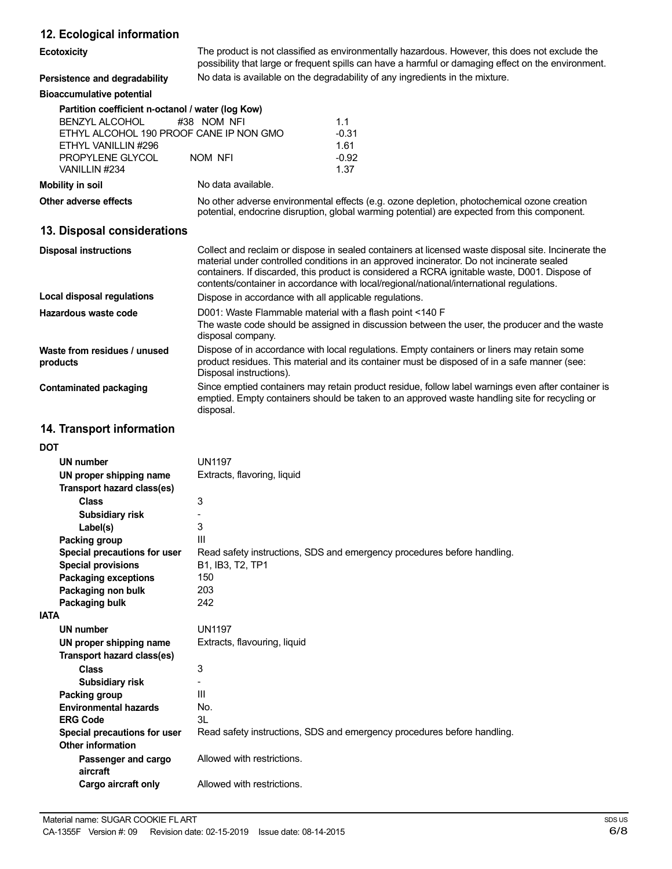| 12. Ecological information                        |                                                                                                                                                                                                                                                                                                                                                                                               |                                                                                                                                                                                            |  |
|---------------------------------------------------|-----------------------------------------------------------------------------------------------------------------------------------------------------------------------------------------------------------------------------------------------------------------------------------------------------------------------------------------------------------------------------------------------|--------------------------------------------------------------------------------------------------------------------------------------------------------------------------------------------|--|
| Ecotoxicity                                       | The product is not classified as environmentally hazardous. However, this does not exclude the<br>possibility that large or frequent spills can have a harmful or damaging effect on the environment.                                                                                                                                                                                         |                                                                                                                                                                                            |  |
| Persistence and degradability                     | No data is available on the degradability of any ingredients in the mixture.                                                                                                                                                                                                                                                                                                                  |                                                                                                                                                                                            |  |
| <b>Bioaccumulative potential</b>                  |                                                                                                                                                                                                                                                                                                                                                                                               |                                                                                                                                                                                            |  |
| Partition coefficient n-octanol / water (log Kow) |                                                                                                                                                                                                                                                                                                                                                                                               |                                                                                                                                                                                            |  |
| <b>BENZYL ALCOHOL</b>                             | #38 NOM NFI                                                                                                                                                                                                                                                                                                                                                                                   | 1.1                                                                                                                                                                                        |  |
| ETHYL ALCOHOL 190 PROOF CANE IP NON GMO           |                                                                                                                                                                                                                                                                                                                                                                                               | $-0.31$                                                                                                                                                                                    |  |
| ETHYL VANILLIN #296<br>PROPYLENE GLYCOL           | <b>NOM NFI</b>                                                                                                                                                                                                                                                                                                                                                                                | 1.61<br>$-0.92$                                                                                                                                                                            |  |
| VANILLIN #234                                     |                                                                                                                                                                                                                                                                                                                                                                                               | 1.37                                                                                                                                                                                       |  |
| <b>Mobility in soil</b>                           | No data available.                                                                                                                                                                                                                                                                                                                                                                            |                                                                                                                                                                                            |  |
| Other adverse effects                             |                                                                                                                                                                                                                                                                                                                                                                                               | No other adverse environmental effects (e.g. ozone depletion, photochemical ozone creation<br>potential, endocrine disruption, global warming potential) are expected from this component. |  |
| 13. Disposal considerations                       |                                                                                                                                                                                                                                                                                                                                                                                               |                                                                                                                                                                                            |  |
| <b>Disposal instructions</b>                      | Collect and reclaim or dispose in sealed containers at licensed waste disposal site. Incinerate the<br>material under controlled conditions in an approved incinerator. Do not incinerate sealed<br>containers. If discarded, this product is considered a RCRA ignitable waste, D001. Dispose of<br>contents/container in accordance with local/regional/national/international regulations. |                                                                                                                                                                                            |  |
| <b>Local disposal regulations</b>                 | Dispose in accordance with all applicable regulations.                                                                                                                                                                                                                                                                                                                                        |                                                                                                                                                                                            |  |
| Hazardous waste code                              | D001: Waste Flammable material with a flash point <140 F<br>The waste code should be assigned in discussion between the user, the producer and the waste<br>disposal company.                                                                                                                                                                                                                 |                                                                                                                                                                                            |  |
| Waste from residues / unused<br>products          | Dispose of in accordance with local regulations. Empty containers or liners may retain some<br>product residues. This material and its container must be disposed of in a safe manner (see:<br>Disposal instructions).                                                                                                                                                                        |                                                                                                                                                                                            |  |
| <b>Contaminated packaging</b>                     | Since emptied containers may retain product residue, follow label warnings even after container is<br>emptied. Empty containers should be taken to an approved waste handling site for recycling or<br>disposal.                                                                                                                                                                              |                                                                                                                                                                                            |  |
| 14. Transport information                         |                                                                                                                                                                                                                                                                                                                                                                                               |                                                                                                                                                                                            |  |
| <b>DOT</b>                                        |                                                                                                                                                                                                                                                                                                                                                                                               |                                                                                                                                                                                            |  |
| UN number                                         | <b>UN1197</b>                                                                                                                                                                                                                                                                                                                                                                                 |                                                                                                                                                                                            |  |
| UN proper shipping name                           | Extracts, flavoring, liquid                                                                                                                                                                                                                                                                                                                                                                   |                                                                                                                                                                                            |  |
| Transport hazard class(es)                        |                                                                                                                                                                                                                                                                                                                                                                                               |                                                                                                                                                                                            |  |
| <b>Class</b>                                      | 3                                                                                                                                                                                                                                                                                                                                                                                             |                                                                                                                                                                                            |  |
| <b>Subsidiary risk</b>                            |                                                                                                                                                                                                                                                                                                                                                                                               |                                                                                                                                                                                            |  |
| Label(s)                                          | 3                                                                                                                                                                                                                                                                                                                                                                                             |                                                                                                                                                                                            |  |
| Packing group                                     | Ш<br>Read safety instructions, SDS and emergency procedures before handling.                                                                                                                                                                                                                                                                                                                  |                                                                                                                                                                                            |  |
| Special precautions for user                      |                                                                                                                                                                                                                                                                                                                                                                                               |                                                                                                                                                                                            |  |
| <b>Special provisions</b>                         | B1, IB3, T2, TP1<br>150                                                                                                                                                                                                                                                                                                                                                                       |                                                                                                                                                                                            |  |
| <b>Packaging exceptions</b><br>Packaging non bulk | 203                                                                                                                                                                                                                                                                                                                                                                                           |                                                                                                                                                                                            |  |
| Packaging bulk                                    | 242                                                                                                                                                                                                                                                                                                                                                                                           |                                                                                                                                                                                            |  |
| <b>IATA</b>                                       |                                                                                                                                                                                                                                                                                                                                                                                               |                                                                                                                                                                                            |  |
| <b>UN number</b>                                  | <b>UN1197</b>                                                                                                                                                                                                                                                                                                                                                                                 |                                                                                                                                                                                            |  |

Read safety instructions, SDS and emergency procedures before handling.

3 - III No. 3L

Extracts, flavouring, liquid

Allowed with restrictions.

Allowed with restrictions.

**UN proper shipping name Transport hazard class(es)**

**Subsidiary risk**

**Environmental hazards**

**Special precautions for user**

**Passenger and cargo**

**Cargo aircraft only**

**Class**

**Packing group**

**Other information**

**aircraft**

**ERG Code**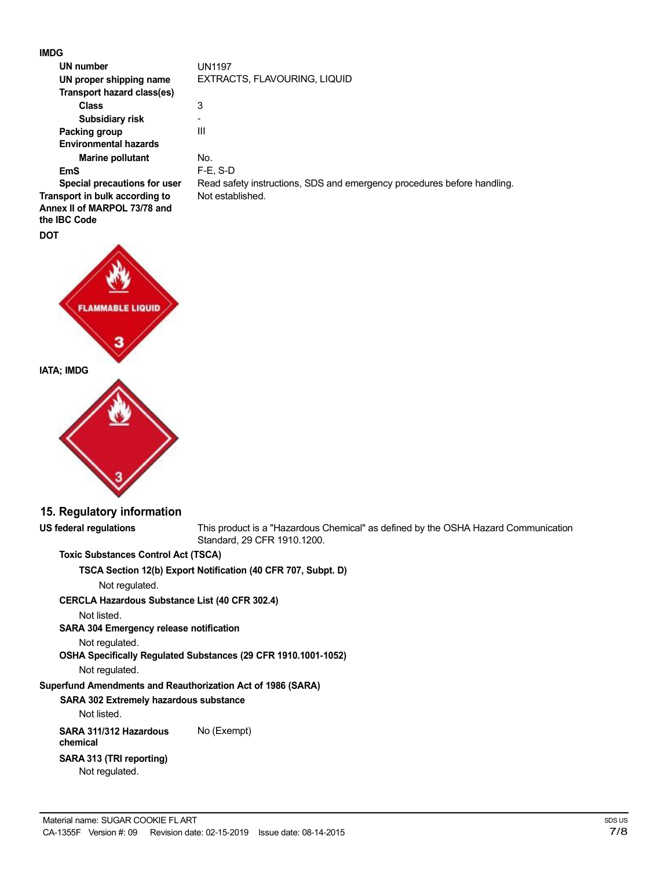**IMDG**

| <b>IMDG</b>                                                    |                                                                                                                   |
|----------------------------------------------------------------|-------------------------------------------------------------------------------------------------------------------|
| UN number                                                      | <b>UN1197</b>                                                                                                     |
| UN proper shipping name                                        | EXTRACTS, FLAVOURING, LIQUID                                                                                      |
| Transport hazard class(es)                                     |                                                                                                                   |
| <b>Class</b>                                                   | 3                                                                                                                 |
| Subsidiary risk                                                |                                                                                                                   |
| Packing group                                                  | III                                                                                                               |
| <b>Environmental hazards</b>                                   |                                                                                                                   |
| <b>Marine pollutant</b>                                        | No.                                                                                                               |
| <b>EmS</b>                                                     | $F-E$ , S-D                                                                                                       |
| Special precautions for user<br>Transport in bulk according to | Read safety instructions, SDS and emergency procedures before handling.<br>Not established.                       |
| Annex II of MARPOL 73/78 and                                   |                                                                                                                   |
| the IBC Code                                                   |                                                                                                                   |
| <b>DOT</b>                                                     |                                                                                                                   |
|                                                                |                                                                                                                   |
| <b>FLAMMABLE LIQUID</b>                                        |                                                                                                                   |
| <b>IATA; IMDG</b>                                              |                                                                                                                   |
|                                                                |                                                                                                                   |
| 15. Regulatory information                                     |                                                                                                                   |
| <b>US federal regulations</b>                                  | This product is a "Hazardous Chemical" as defined by the OSHA Hazard Communication<br>Standard, 29 CFR 1910.1200. |
| <b>Toxic Substances Control Act (TSCA)</b>                     |                                                                                                                   |
|                                                                | TSCA Section 12(b) Export Notification (40 CFR 707, Subpt. D)                                                     |
| Not regulated.                                                 |                                                                                                                   |
| <b>CERCLA Hazardous Substance List (40 CFR 302.4)</b>          |                                                                                                                   |
| Not listed.                                                    |                                                                                                                   |
| SARA 304 Emergency release notification                        |                                                                                                                   |
| Not regulated.                                                 | OSHA Specifically Regulated Substances (29 CFR 1910.1001-1052)                                                    |
| Not regulated.                                                 |                                                                                                                   |
| Superfund Amendments and Reauthorization Act of 1986 (SARA)    |                                                                                                                   |
| SARA 302 Extremely hazardous substance                         |                                                                                                                   |
| Not listed.                                                    |                                                                                                                   |
| SARA 311/312 Hazardous<br>chemical                             | No (Exempt)                                                                                                       |
| SARA 313 (TRI reporting)<br>Not regulated.                     |                                                                                                                   |